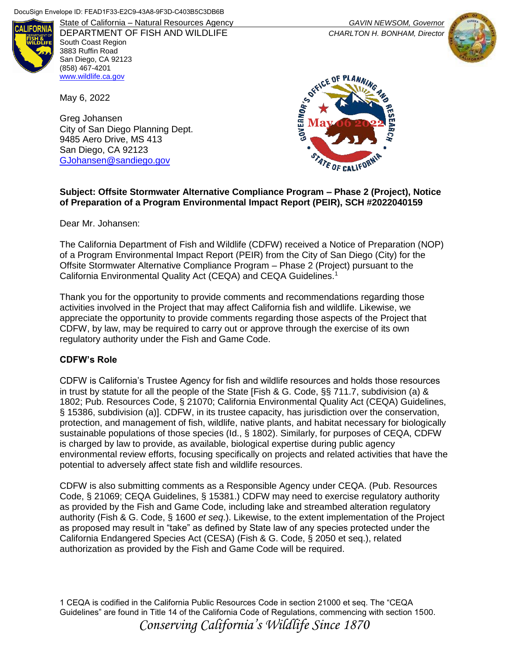

State of California – Natural Resources Agency *GAVIN NEWSOM, Governor* DEPARTMENT OF FISH AND WILDLIFE *CHARLTON H. BONHAM, Director* South Coast Region 3883 Ruffin Road San Diego, CA 92123 (858) 467-4201 [www.wildlife.ca.gov](http://www.wildlife.ca.gov/)

May 6, 2022

Greg Johansen City of San Diego Planning Dept. 9485 Aero Drive, MS 413 San Diego, CA 92123 [GJohansen@sandiego.gov](mailto:GJohansen@sandiego.gov)



## **Subject: Offsite Stormwater Alternative Compliance Program – Phase 2 (Project), Notice of Preparation of a Program Environmental Impact Report (PEIR), SCH #2022040159**

Dear Mr. Johansen:

The California Department of Fish and Wildlife (CDFW) received a Notice of Preparation (NOP) of a Program Environmental Impact Report (PEIR) from the City of San Diego (City) for the Offsite Stormwater Alternative Compliance Program – Phase 2 (Project) pursuant to the California Environmental Quality Act (CEQA) and CEQA Guidelines.<sup>1</sup>

Thank you for the opportunity to provide comments and recommendations regarding those activities involved in the Project that may affect California fish and wildlife. Likewise, we appreciate the opportunity to provide comments regarding those aspects of the Project that CDFW, by law, may be required to carry out or approve through the exercise of its own regulatory authority under the Fish and Game Code.

#### **CDFW's Role**

CDFW is California's Trustee Agency for fish and wildlife resources and holds those resources in trust by statute for all the people of the State [Fish & G. Code, §§ 711.7, subdivision (a) & 1802; Pub. Resources Code, § 21070; California Environmental Quality Act (CEQA) Guidelines, § 15386, subdivision (a)]. CDFW, in its trustee capacity, has jurisdiction over the conservation, protection, and management of fish, wildlife, native plants, and habitat necessary for biologically sustainable populations of those species (Id., § 1802). Similarly, for purposes of CEQA, CDFW is charged by law to provide, as available, biological expertise during public agency environmental review efforts, focusing specifically on projects and related activities that have the potential to adversely affect state fish and wildlife resources.

CDFW is also submitting comments as a Responsible Agency under CEQA. (Pub. Resources Code, § 21069; CEQA Guidelines, § 15381.) CDFW may need to exercise regulatory authority as provided by the Fish and Game Code, including lake and streambed alteration regulatory authority (Fish & G. Code, § 1600 *et seq*.). Likewise, to the extent implementation of the Project as proposed may result in "take" as defined by State law of any species protected under the California Endangered Species Act (CESA) (Fish & G. Code, § 2050 et seq.), related authorization as provided by the Fish and Game Code will be required.

1 CEQA is codified in the California Public Resources Code in section 21000 et seq. The "CEQA Guidelines" are found in Title 14 of the California Code of Regulations, commencing with section 1500. *Conserving California's Wildlife Since 1870*

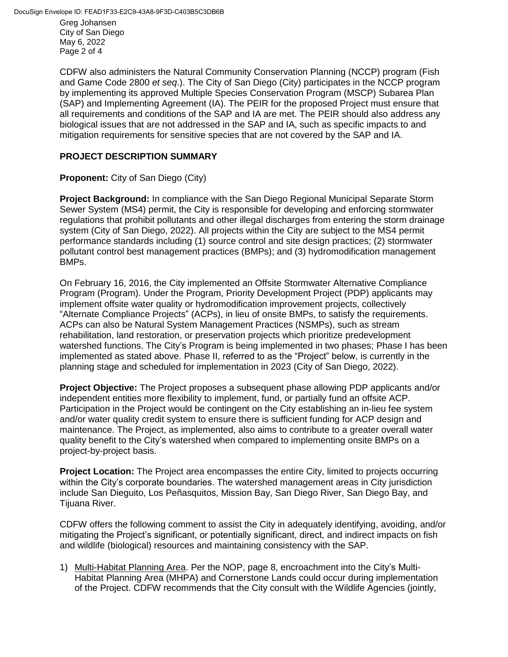Greg Johansen City of San Diego May 6, 2022 Page 2 of 4

CDFW also administers the Natural Community Conservation Planning (NCCP) program (Fish and Game Code 2800 *et seq*.). The City of San Diego (City) participates in the NCCP program by implementing its approved Multiple Species Conservation Program (MSCP) Subarea Plan (SAP) and Implementing Agreement (IA). The PEIR for the proposed Project must ensure that all requirements and conditions of the SAP and IA are met. The PEIR should also address any biological issues that are not addressed in the SAP and IA, such as specific impacts to and mitigation requirements for sensitive species that are not covered by the SAP and IA.

## **PROJECT DESCRIPTION SUMMARY**

**Proponent:** City of San Diego (City)

**Project Background:** In compliance with the San Diego Regional Municipal Separate Storm Sewer System (MS4) permit, the City is responsible for developing and enforcing stormwater regulations that prohibit pollutants and other illegal discharges from entering the storm drainage system (City of San Diego, 2022). All projects within the City are subject to the MS4 permit performance standards including (1) source control and site design practices; (2) stormwater pollutant control best management practices (BMPs); and (3) hydromodification management BMPs.

On February 16, 2016, the City implemented an Offsite Stormwater Alternative Compliance Program (Program). Under the Program, Priority Development Project (PDP) applicants may implement offsite water quality or hydromodification improvement projects, collectively "Alternate Compliance Projects" (ACPs), in lieu of onsite BMPs, to satisfy the requirements. ACPs can also be Natural System Management Practices (NSMPs), such as stream rehabilitation, land restoration, or preservation projects which prioritize predevelopment watershed functions. The City's Program is being implemented in two phases; Phase I has been implemented as stated above. Phase II, referred to as the "Project" below, is currently in the planning stage and scheduled for implementation in 2023 (City of San Diego, 2022).

**Project Objective:** The Project proposes a subsequent phase allowing PDP applicants and/or independent entities more flexibility to implement, fund, or partially fund an offsite ACP. Participation in the Project would be contingent on the City establishing an in-lieu fee system and/or water quality credit system to ensure there is sufficient funding for ACP design and maintenance. The Project, as implemented, also aims to contribute to a greater overall water quality benefit to the City's watershed when compared to implementing onsite BMPs on a project-by-project basis.

**Project Location:** The Project area encompasses the entire City, limited to projects occurring within the City's corporate boundaries. The watershed management areas in City jurisdiction include San Dieguito, Los Peñasquitos, Mission Bay, San Diego River, San Diego Bay, and Tijuana River.

CDFW offers the following comment to assist the City in adequately identifying, avoiding, and/or mitigating the Project's significant, or potentially significant, direct, and indirect impacts on fish and wildlife (biological) resources and maintaining consistency with the SAP.

1) Multi-Habitat Planning Area. Per the NOP, page 8, encroachment into the City's Multi-Habitat Planning Area (MHPA) and Cornerstone Lands could occur during implementation of the Project. CDFW recommends that the City consult with the Wildlife Agencies (jointly,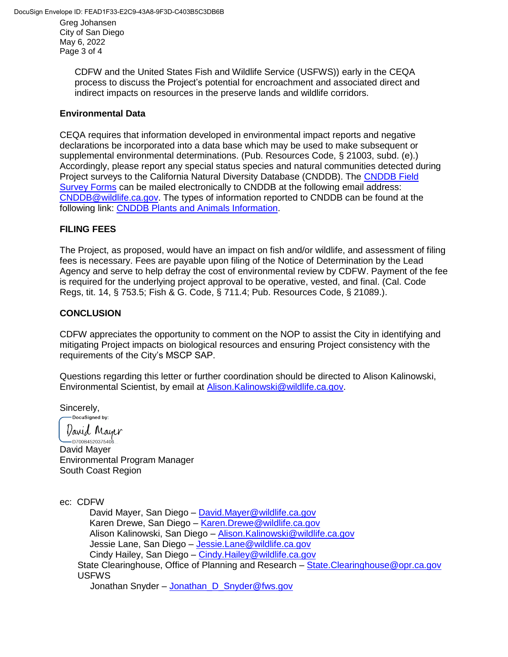Greg Johansen City of San Diego May 6, 2022 Page 3 of 4

> CDFW and the United States Fish and Wildlife Service (USFWS)) early in the CEQA process to discuss the Project's potential for encroachment and associated direct and indirect impacts on resources in the preserve lands and wildlife corridors.

#### **Environmental Data**

CEQA requires that information developed in environmental impact reports and negative declarations be incorporated into a data base which may be used to make subsequent or supplemental environmental determinations. (Pub. Resources Code, § 21003, subd. (e).) Accordingly, please report any special status species and natural communities detected during Project surveys to the California Natural Diversity Database (CNDDB). The [CNDDB Field](https://wildlife.ca.gov/Data/CNDDB/Submitting-Data)  [Survey Forms](https://wildlife.ca.gov/Data/CNDDB/Submitting-Data) can be mailed electronically to CNDDB at the following email address: [CNDDB@wildlife.ca.gov.](mailto:CNDDB@wildlife.ca.gov) The types of information reported to CNDDB can be found at the following link: [CNDDB Plants and Animals Information.](https://wildlife.ca.gov/Data/CNDDB/Plants-and-Animals)

# **FILING FEES**

The Project, as proposed, would have an impact on fish and/or wildlife, and assessment of filing fees is necessary. Fees are payable upon filing of the Notice of Determination by the Lead Agency and serve to help defray the cost of environmental review by CDFW. Payment of the fee is required for the underlying project approval to be operative, vested, and final. (Cal. Code Regs, tit. 14, § 753.5; Fish & G. Code, § 711.4; Pub. Resources Code, § 21089.).

# **CONCLUSION**

CDFW appreciates the opportunity to comment on the NOP to assist the City in identifying and mitigating Project impacts on biological resources and ensuring Project consistency with the requirements of the City's MSCP SAP.

Questions regarding this letter or further coordination should be directed to Alison Kalinowski, Environmental Scientist, by email at Alison. Kalinowski@wildlife.ca.gov.

Sincerely,<br>
Pocusigned by:

*Varid Mayer* 

 $-$  D700B4520375406 David Mayer Environmental Program Manager South Coast Region

ec: CDFW

David Mayer, San Diego – [David.Mayer@wildlife.ca.gov](mailto:David.Mayer@wildlife.ca.gov) Karen Drewe, San Diego – [Karen.Drewe@wildlife.ca.gov](mailto:Karen.Drewe@wildlife.ca.gov) Alison Kalinowski, San Diego – [Alison.Kalinowski@wildlife.ca.gov](mailto:Alison.Kalinowski@wildlife.ca.gov) Jessie Lane, San Diego – [Jessie.Lane@wildlife.ca.gov](mailto:Jessie.Lane@wildlife.ca.gov) Cindy Hailey, San Diego – [Cindy.Hailey@wildlife.ca.gov](mailto:Cindy.Hailey@wildlife.ca.gov) State Clearinghouse, Office of Planning and Research – [State.Clearinghouse@opr.ca.gov](mailto:State.Clearinghouse@opr.ca.gov) USFWS

Jonathan Snyder – Jonathan D Snyder@fws.gov